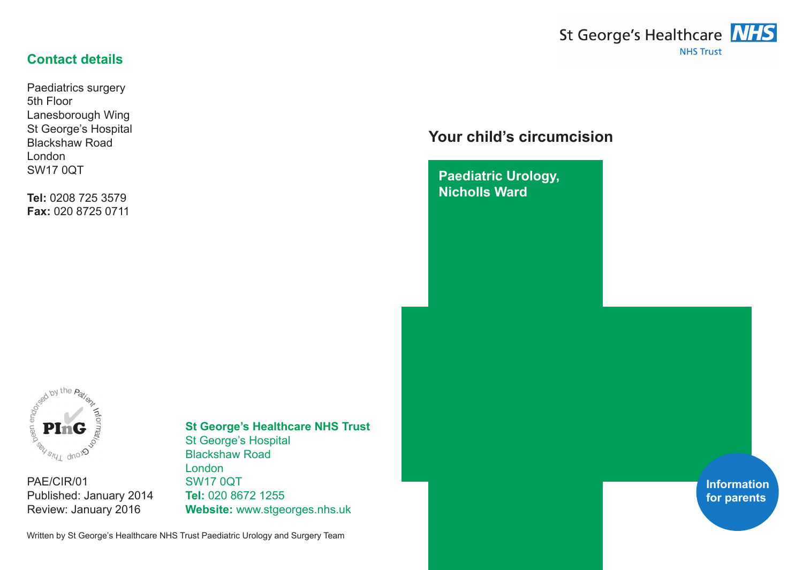

#### **Contact details**

Paediatrics surgery 5th Floor Lanesborough Wing St George's Hospital Blackshaw Road London SW17 0QT

**Tel:** 0208 725 3579 **Fax:** 020 8725 0711

# **Your child's circumcision**

**Paediatric Urology, Nicholls Ward**



PAE/CIR/01 Published: January 2014 Review: January 2016

# **St George's Healthcare NHS Trust**

St George's Hospital Blackshaw Road London SW17 0QT **Tel:** 020 8672 1255 **Website:** www.stgeorges.nhs.uk

Written by St George's Healthcare NHS Trust Paediatric Urology and Surgery Team

**Information for parents**